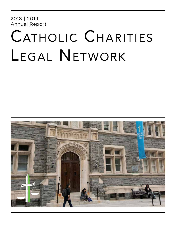2018 | 2019 Annual Report

# CATHOLIC CHARITIES Legal Network

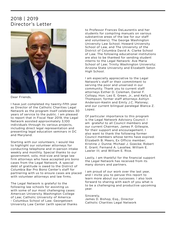### 2018 | 2019 Director's Letter



Dear Friends,

I have just completed my twenty-fifth year as Director of the Catholic Charities Legal Network as the program itself celebrates 30 years of service to the public. I am pleased to report that in Fiscal Year 2019, the Legal Network assisted approximately 3,100 individuals through its various projects, including direct legal representation and presenting legal education seminars in DC and Maryland.

Starting with our volunteers, I would like to highlight our volunteer attorneys for conducting telephone and in-person intake weekly and monthly. Special thanks to our government, solo, mid-size and large law firm attorneys who have accepted pro bono cases from the Legal Network. A special debt of gratitude is owed to the District of Columbia Bar Pro Bono Center's staff for partnering with us to ensure cases are placed with volunteer attorneys and law firms.

The Legal Network is grateful to the following law schools for assisting us with some of our most challenging cases: American University Washington College of Law; Catholic University of America - Columbus School of Law; Georgetown University Law Center (with special thanks to Professor Frances DeLaurentis and her students for compiling manuals on various substantive areas of the law for our staff and volunteers); The George Washington University Law School; Howard University School of Law, and The University of the District of Columbia David A. Clarke School of Law. The following educational institutions are also to be thanked for sending student interns to the Legal Network: Ave Maria School of Law; Trinity Washington University; Arizona State University and Elizabeth Seton High School.

I am especially appreciative to the Legal Network's staff or their commitment to serving the poor and unserved in our community. Thank you to current staff attorneys Esther D. Coleman, Daniel F. Collopy, Hon. Leo E. Green, Jr., and Kelly E. Thompson; former staff attorneys Ashlyn Anderson-Keelin and Emily J.C. Maloney; and our current bilingual paralegal Blanca Z. Lopez.

Of particular importance to this program is the Legal Network Advisory Council. I am grateful to all Council members and our current Chairman, James P. Gillespie, for their support and encouragement. I also want to thank the following former Council members whose terms have expired: Elizabeth B. Meers, Ex Officio member; Kristine J. Dunne; Michael J. Goecke; Robert E. Grant; Fernand A. Lavallee; William E. Lawler III; and William E. Rice.

Lastly, I am thankful for the financial support the Legal Network has received from its many donors and partners.

I am proud of our work over the last year, and I invite you to peruse this report to learn more about our successes. I also look forward to sharing with each of you what is to be a challenging and productive upcoming year.

Sincerely, James D. Bishop, Esq., Director Catholic Charities Legal Network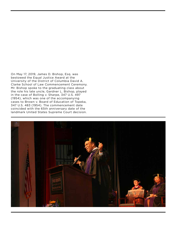On May 17, 2019, James D. Bishop, Esq. was bestowed the Equal Justice Award at the University of the District of Columbia David A. Clarke School of Law Commencement Ceremony. Mr. Bishop spoke to the graduating class about the role his late uncle, Gardner L. Bishop, played in the case of Bolling v. Sharpe, 347 U.S. 497 (1954), which was one of the accompanying cases to Brown v. Board of Education of Topeka, 347 U.S. 483 (1954). The commencement date coincided with the 65th anniversary date of the landmark United States Supreme Court decision.

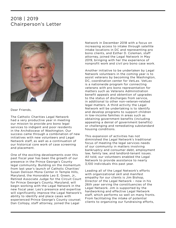### 2018 | 2019 Chairperson's Letter



Dear Friends,

The Catholic Charities Legal Network had a very productive year in meeting our mission to provide pro bono legal services to indigent and poor residents in the Archdiocese of Washington. Our success came through a combination of new initiatives with new volunteers and Legal Network staff, as well as a continuation of our historical core work of case screening and placement.

One of the exciting developments over this past fiscal year has been the growth of our presence in the Prince George's County legal community. Building on the momentum from last year's launch of Catholic Charities' Susan Denison Mona Center in Temple Hills, Maryland, the Honorable Leo E. Green, Jr., Retired Associate Judge for the Circuit Court for Prince George's County, Maryland, will begin working with the Legal Network in the new fiscal year. Leo's presence and expertise will significantly improve the Legal Network's ability to identify and place cases with experienced Prince George's County counsel. Dan Collopy, staff attorney, joined the Legal

Network in December 2018 with a focus on increasing access to intake through satellite intake locations in DC and representing pro bono clients, and Esther D. Coleman, staff attorney, joined the Legal Network in May 2019, bringing with her the experience of nonprofit work and civil pro bono case work.

Another initiative to be undertaken by Legal Network volunteers in the coming year is to assist veterans by becoming the Washington, DC, coordination center for VetLex. VetLex is a nationwide program for connecting veterans with pro bono representation for matters such as Veterans Administration benefit appeals and obtention of upgrades to the status of discharges from service, in additional to other non-veteran-related legal matters. A third activity the Legal Network will be undertaking is to identify and develop programs to support children in low-income families in areas such as obtaining government benefits (including appealing a denial of government benefits) or challenging and remediating substandard housing conditions.

This expansion of activities has not diminished the Legal Network's traditional focus of meeting the legal services needs of our community in matters involving bankruptcy and consumer debt, employment law, family law, and landlord-tenant issues. All told, our volunteers enabled the Legal Network to provide assistance to nearly 3,100 individuals this past year.

Leading all of the Legal Network's efforts with organizational skill and manifest empathy for our clients is Jim Bishop, Director of the Legal Network – now in his 26th year serving the constituencies of the Legal Network. Jim is supported by the hardworking and effective Legal Network staff, which performs so well on many fronts. From facilitating the intake of potential clients to organizing our fundraising efforts,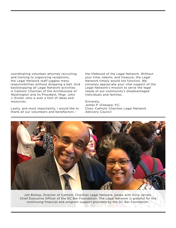coordinating volunteer attorney recruiting and training to organizing receptions, the Legal Network staff juggles many responsibilities without dropping a ball. And backstopping all Legal Network activities is Catholic Charities of the Archdiocese of Washington and its President, Msgr. John J. Enzler, who is ever a font of ideas and resources.

Lastly, and most importantly, I would like to thank all our volunteers and benefactors –

the lifeblood of the Legal Network. Without your time, talents, and treasure, the Legal Network simply would not function. We sincerely appreciate your vital support of the Legal Network's mission to serve the legal needs of our community's disadvantaged individuals and families.

Sincerely, James P. Gillespie, P.C. Chair, Catholic Charities Legal Network Advisory Council



Jim Bishop, Director of Catholic Charities Legal Network, poses with Kirra Jarrett, Chief Executive Officer of the DC Bar Foundation. The Legal Network is grateful for the continuing financial and program support provided by the DC Bar Foundation.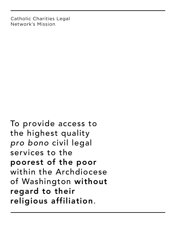Catholic Charities Legal Network's Mission

To provide access to the highest quality *pro bono* civil legal services to the poorest of the poor within the Archdiocese of Washington without regard to their religious affiliation.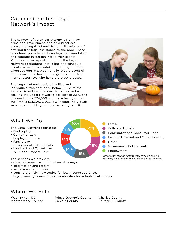### Catholic Charities Legal Network's Impact

The support of volunteer attorneys from law firms, the government, and solo practices allows the Legal Network to fulfill its mission of offering free legal assistance to the poor. These volunteers provide pro bono legal representation and conduct in-person intake with clients. Volunteer attorneys also monitor the Legal Network's telephone intake line and schedule clients for in-person intake, providing referrals when appropriate. Additionally, they present civil law seminars for low-income groups, and they mentor attorneys who handle pro bono cases.

The Legal Network assists families and individuals who earn at or below 200% of the Federal Poverty Guidelines. For an individual seeking the Legal Network's services in 2019, the income limit is \$24,980, and for a family of four, the limit is \$51,500. 3,065 low-income individuals were served in Maryland and Washington, DC.



Landlord, Tenant and Other Housing

Bankruptcy and Consumer Debt

Government Entitlements

*\*other cases include expungement/record sealing, obtaining government ID, education and tax matters*

### What We Do

The Legal Network addresses:

- Bankruptcy
- Consumer Law
- Employment Law
- Family Law
- Government Entitlements
- Landlord and Tenant Law
- Wills and Probate Law

#### The services we provide:

- Case placement with volunteer attorneys
- Information and referral
- In-person client intake
- Seminars on civil law topics for low-income audiences
- Legal training seminars and mentorship for volunteer attorneys

### Where We Help

Washington, DC Montgomery County Prince George's County Calvert County

10%

14%

11%

13%

15%

21%

16%

Charles County St. Mary's County

Employment

Wills andProbate

Family

Other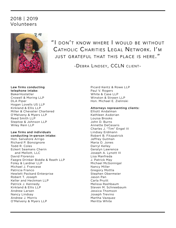### 2018 | 2019 Volunteers



"I don't know where I would be without Catholic Charities Legal Network. I'm just grateful that this place is here."

-Debra Lindsey, CCLN client-

### Law firms conducting telephone intake:

BakerHostetler Crowell & Moring LLP DLA Piper Hogan Lovells US LLP Kirkland & Ellis LLP Miller & Chevalier Chartered O'Melveny & Myers LLP Reed Smith LLP Steptoe & Johnson LLP Wiley Rein LLP

### Law firms and individuals

conducting in-person intake: Hon. Salvatore Arrigo Richard P. Bonsignore Todd R. Coles Eckert Seamans Cherin and Mellott, LLC David Florenzo Faegre Drinker Biddle & Reath LLP Foley & Lardner LLP Michael J. Francese Patricia Franco Hewlett Packard Enterprise Robert T. Joseph Keller and Heckman LLP Patrick J. Kennedy Kirkland & Ellis LLP Andrew Larsen Nancy Lindsay Andrew J. Morris O'Melveny & Myers LLP

Picard Kentz & Rowe LLP Paul V. Rogers White & Case LLP Winston & Strawn LLP Hon. Michael E. Zielinski

#### Attorneys representing clients:

Elliott Andalman Kathleen Asdorian Louisa Brooks John D. Burns Annette DeCesaris Charles J. "Tim" Engel III Lindsey Erdmann Robert B. Fitzpatrick Jeffrey Gutman Maria O. Jones Darryl Kelley Geralyn Lawrence Joseph A. Lynott III Lisa Manfreda J. Patrick May Michael McGonnigal Nancy Miller Gregory Mottla Stephen Obermeier Jason Pan Carla Pruitt Melissa Rashbaum Steven M. Schneebaum Jessica Thomson Joseph Trevino Martha Vazquez Meritta White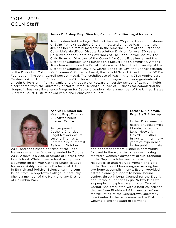### 2018 | 2019 CCLN Staff



#### James D. Bishop Esq., Director, Catholic Charities Legal Network

Jim has directed the Legal Network for over 25 years. He is a parishioner of Saint Patrick's Catholic Church in DC and a native Washingtonian. Jim has been a family mediator in the Superior Court of the District of Columbia's MultiDoor Dispute Resolution Division for over 30 years. He serves on the Board of Governors of The John Carroll Society, the Civic Board of Directors of the Council for Court Excellence, and the District of Columbia Bar Foundation's Scoutt Prize Committee. Among Jim's honors include the Equal Justice Award from the University of the District of Columbia David A. Clarke School of Law, the Bar Association

of the District of Columbia's Suzanne V. Richards Award, the Jerrold Scoutt Prize from the DC Bar Foundation, The John Carroll Society Medal, The Archdiocese of Washington's 75th Anniversary Cardinal's Award, and Catholic Charities' Griffin Award. Jim is a magna cum laude graduate of Lincoln University in Pennsylvania and a graduate of Howard University School of Law. Jim holds a certificate from the University of Notre Dame Mendoza College of Business for completing the Nonprofit Business Excellence Program for Catholic Leaders. He is a member of the United States Supreme Court, District of Columbia and Pennsylvania Bars.



Ashlyn M. Anderson-Keelin, Esq., Thomas L. Shaffer Public Interest Fellow

Ashlyn joined Catholic Charities Legal Network as its second Thomas L. Shaffer Public Interest Fellow in October

2016, and she finshed her time at the Legal Network when her fellowship ended in October 2018. Ashlyn is a 2016 graduate of Notre Dame Law School. While in law school, Ashlyn was a summer intern with Catholic Charities Legal Network. Ashlyn earned a Bachelor of Arts in English and Political Science, summa cum laude, from Georgetown College in Kentucky. She is a member of the Maryland and District of Columbia Bars.



#### Esther D. Coleman, Esq., Staff Attorney

Esther D. Coleman, a native of Jacksonville, Florida, joined the Legal Network in May 2019. Esther brings with her many years of experience in the public, private

and nonprofit sectors. Esther is communityfocused in the work that she does, having started a women's advocacy group, Standing in the Gap, which focuses on providing resources to underserved women and girls in the Northeast Florida region. Among her pro bono accomplishments, Esther provided estate planning support to home-bound seniors through Legal Counsel for the Elderly and Catholic Charities Legal Network, as well as people in hospice care through Capital Caring. She graduated with a political science degree from Florida A&M University before matriculating at the Georgetown University Law Center. Esther is licensed in the District of Columbia and the state of Maryland.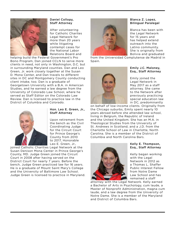

#### Daniel Collopy, Staff Attorney

After volunteering for Catholic Charites Legal Network for more than 20 years while litigating contempt cases for the National Labor Relations Board and

helping build the Federal Government's Pro Bono Program, Dan joined CCLN to serve more clients in need, not only in Washington, D.C. but in surrounding Maryland counties. Dan and Leo Green, Jr. work closely together at the Susan D. Mona Center, and Dan travels to different sites in DC and Montgomery County conducting client intake, too. Dan is a graduate of Georgetown University with a B.A. in American Studies, and he earned a law degree from the University of Colorado Law School, where he served as Staff Editor on the Colorado Law Review. Dan is licensed to practice law in the District of Columbia and Colorado.



#### Hon. Leo E. Green, Jr., Staff Attorney

Upon retirement from the bench as the Civil Coordinating Judge for the Circuit Court for Prince George's County from 2010 to 2017, Honorable Leo E. Green, Jr.,

joined Catholic Charities Legal Network at the Susan Denison Mona Center in Prince George's County, MD. Judge Green joined the Circuit Court in 2008 after having served on the District Court for nearly 7 years. Before the bench, Judge Green practiced law for 16 years. He is a graduate of Mount Saint Mary's College and the University of Baltimore Law School. Judge Green is licensed to practice in Maryland.



#### Blanca Z. Lopez, Bilingual Paralegal

Blanca has been with the Legal Network for 15 years and has helped extend outreach into the Latino community. She is originally from Bolivia and graduated

from the Universidad Complutense de Madrid in Spain.



#### Emily J.C. Maloney, Esq., Staff Attorney

Emily joined the Legal Network in May 2017 as a staff attorney. She came to the Network after previously practicing special education law in DC, predominantly

on behalf of low-income clients. Originally from the Chicago suburbs, Emily spent nearly 10 years abroad before she attended law school, living in Belgium, the Republic of Ireland and the United Kingdom. She has an M.A. in Theological Studies from the University of St. Andrews in Scotland, and a J.D. from the Charlotte School of Law in Charlotte, North Carolina. She is a member of the District of Columbia and North Carolina Bars.



#### Kelly E. Thompson, Esq., Staff Attorney

Kelly began working with the Legal Network in 2012 as a Thomas L. Shaffer Public Interest Fellow from Notre Dame Law School and has remained a staff

attorney with the Legal Network. Kelly earned a Bachelor of Arts in Psychology, cum laude, a Master of Nonprofit Administration, magna cum laude, and a law degree from the University of Notre Dame. She is a member of the Maryland and District of Columbia Bars.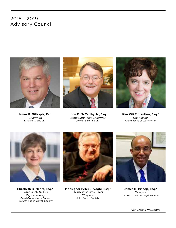### 2018 | 2019 Advisory Council



**James P. Gillespie, Esq.** *Chairman* Kirkland & Ellis LLP



**John E. McCarthy Jr., Esq.** *Immediate Past Chairman* Crowell & Moring LLP



**Kim Viti Fiorentino, Esq.\*** *Chancellor*  Archdiocese of Washington



**Elizabeth B. Meers, Esq.\*** Hogan Lovells US LLP, *Representing*  **Carol Grefenstette Bates,** *President*, John Carroll Society



**Monsignor Peter J. Vaghi, Esq.**\* Church of the Little Flower *Chaplain* John Carroll Society



**James D. Bishop, Esq.\*** *Director* Catholic Charities Legal Network

\**Ex Officio members*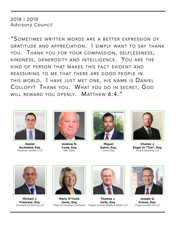### 2018 | 2019 Advisory Council

"Sometimes written words are <sup>a</sup> better expression of gratitude and appreciation. I simply want to say thank you. Thank you for your compassion, selflessness, kindness, generosity and intelligence. You are the kind of person that makes this fact evident and reassuring to me that there are good people in this world. I have just met one, his name is Daniel Collopy! Thank you. What you do in secret, God will reward you openly. Matthew 6:4."



**Daniel Archuleta, Esq.** Troutman Sanders LLP



**Andrew N. Cook, Esq.** K&L Gates



**Miguel Eaton, Esq.** Jones Day



**Charles J. Engel III "Tim", Esq.** King & Spalding LLP



**Michael J. Francese, Esq.** Covington & Burling LLP



**Maria O'Toole Jones, Esq.**



**Thomas J. Kelly, Esq.** Miller & Chevalier Chartered Faegre Drinker Biddle & Reath LLP



**Joseph G. Krauss, Esq.** Hogan Lovells US LLP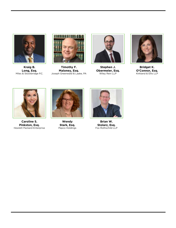

**Kraig B. Long, Esq.** Miles & Stockbridge P.C.



**Timothy F. Maloney, Esq.** Joseph Greenwald & Laake, PA



**Stephen J. Obermeier, Esq.** Wiley Rein LLP



**Bridget K. O'Connor, Esq.** Kirkland & Ellis LLP



**Caroline S. Pinkston, Esq.** Hewlett Packard Enterprise



**Wendy Stark, Esq.** Pepco Holdings



**Brian W. Stolarz, Esq.** Fox Rothschild LLP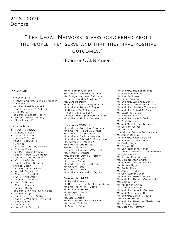### 2018 | 2019 Donors

### "The Legal Network is very concerned about the people they serve and that they have positive outcomes."

-Former CCLN client-

#### Individuals

Partners \$5,000+ Mr. Robert and Mrs. Patricia Branson\* Mr. Nicholas J. and Mrs. Patricia Denovio\* Mr. and Mrs. James P. Gillespie\* Dr. Dale Meers and Mrs. Elizabeth Meers\* Mr. and Mrs. Patrick M. Regan\* Mr. Nino R. Vaghi\*

#### Benefactors

\$1,000 - \$4,999 Mr. Eugene F. Assaf\* Mr. James F. Basile Mr. James D. Bishop Mr. and Mrs. Bruyette Mr. Charles and Mrs. Courtney Carroccio Mr. Charles Clark and Ms. Patricia Franco Mr. and Mrs. Paul D. Clement\* Mr. and Mrs. Todd R. Coles Mr. Victor DeSantis Mr. and Mrs. Mark Director Mr. Miguel Eaton and Mrs. Jennifer Eaton Mr. W. Neil Eggleston\* Mr. Charles J. Engel III Mr. Ari Q. Fitzgerald\* Mr. Michael J. Goecke Mr. Mark D. Hopson\* Mr. Charles Kenslea Mr. Andrew Kentz and Mrs. Ellen Miskovsky Kentz Mr. Michael Knight Mr. and Mrs. Joseph G. Krauss Mr. and Mrs. William E. Lawler III Mr. Edward Liva Ms. Alicia Mack Mr. John E. McCarthy Jr.

Mr. William McClintock Mr. and Mrs. Gerard E. Mitchell Ms. Bridget Kathleen O'Connor and Mr. Saadeh A. Al-Jurf\* Ms. Barbara Perry Mr. David and Mrs. Mary Ralston Mr. and Mrs. Robert F. Ruyak Mr. Brendan V. Sullivan Jr. and Ms. Lila Sullivan Reverend Monsignor Peter J. Vaghi Mr. and Mrs. Philip L. Verveer

#### Sponsors \$500-\$999

Mr. and Mrs. Robert W. Goodson Mr. and Mrs. Robert W. Gwadz Mr. and Mrs. Randall Jones Mr. and Mrs. David K. Koehler\* Mr. and Mrs. Edward R. McNicholas\* Ms. Kathleen M. Mueller\* Mr. and Mrs. Eric R. Nitz The Hon. Terrence and Mrs. Margaret O'Donnell Ms. Ashley C. Parrish Mrs. and Mrs. David S. Petron\* Mr. Paul V. Rogers Mr. Joseph Seidel Mr. and Mrs. Neal E. Sullivan\* Mr. Gordon Todd\* Ms. Christina Wills Mr. and Mrs. Michael K. Yaghmour

#### Donors to \$499

Mr. Daniel Arevalo Mr. David and Mrs. Kathleen Asdorian Mr. and Mrs. Kevin T. Baine Mr. Benjamin Beaton Mr. George C. Beck Ms. Debra Belott Ms. Liza Benitez Mr. Eric and Mrs. Kristen Billings Ms. Lauren Billings Mr. Scott P. Billings

Mr. and Mrs. Thomas Billings Ms. Kathleen Brogan Mr. Joel Buckman Ms. Janet Bullinger Mr. and Mrs. William T. Burke Mr. and Mrs. Christopher Carroccio Mr. and Mrs. Matthew T. Carroccio Mr. and Mrs. Robert M. Cary Mr. David K. Clouser Ms. Kate Coleman Mr. and Mrs. John T. Collins Mr. Paul Cornoni Mr. and Mrs. Michael G. Cowie Mr. Gregory Culver Mr. Anthony J. and Mrs. Frances DeLaurentis Mr. James Dennin Mr. and Mrs. Kevin DeSanto Mr. and Mrs. James Dolan Mr. David Dugan Ms. Alyson Dunn Mr. Christopher M. Maher and Mrs. Kristine J. Dunne-Maher Mr. Tyler Duvall Mr. Joseph Edmondson Ms. Barbara Jean Endres\* Mr. and Mrs. Joseph Estrich Ms. Teresa Figgs Mr. Austin Flajser Mr. James T. Fuller Mr. Christopher Geyer Mr. and Mrs. Sean Gormley Mr. and Mrs. Thomas Gottschalk\* Ms. Caitlin Grant Mr. Joseph P. Griffin Ms. Caroline Guidera Mr. and Mrs. Leoncio Gutierrez Mr. and Mrs. Barry J. Hart Mr. and Mrs. Burke F. Hayes Mrs. Valerie Hinton Mr. and Mrs. Theodore Charles Hirt Mr. Thomas Hodges Ms. Susan M. Hoffman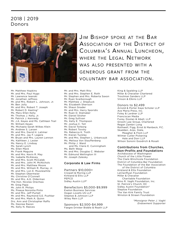### 2018 | 2019 Donors



Jim Bishop spoke at the Bar Association of the District of Columbia's Annual Luncheon, WHERE THE FGAL NETWORK was also presented with a generous grant from the voluntary bar association.

Mr. Matthew Hopkins Mr. and Mrs. Paul Hugo Mr. Lawrence Iwanski Mr. Jonathan Jeffress Mr. and Mrs. Robert L. Johnson, Jr. Mr. Ben Jolly Mr. and Mrs. Robert T. Joseph Mr. Robert D. Keeling\* Ms. Mary Ellen Kelly Mr. Thomas J. Kelly, Jr. Mr. Patrick J. Kennedy Mr. J.A. Keyes and Ms. Cathleen Trail Mr. William Keyes Ms. Michaela Sarah Wilkes Klein Mr. Andrew S. Larsen Mr. and Mrs. David H. Latimer Mr. and Mrs. Jay F. Legere Mr. Bryan and Mrs. Lauren Lennon Ms. Kathleen J. Lester Ms. Nancy E. Lindsay Ms. Sarah Lynch Ms. Ellen Mack Mr. Frank Maguire Mr. and Mrs. Kevin R. May Ms. Isabelle McAlevey Mr. and Mrs. Scott McCaleb Mr. and Mrs. John M. McNichols Mr. and Mrs. Matthew Moore Mr. and Mrs. William R. Murray, Jr. Mr. and Mrs. Lon E. Musslewhite Mr. Stephen Obermeier Ms. Christine O'Connell Mr. and Mrs. A.G. Olderman The Hon. Nicolas Orechwa Mr. Greg Papa Mr. John R. Philips Ms. Preeya Noronha Pinto Mr. and Mrs. Jeff Purtell Mr. and Mrs. Raymond S.E. Pushkar Mr. and Mrs. Mark A. Quinn Drs. Ann and Christopher Raffo Ms. Desiree Razon Ms. Kelly N. Reeves

Mr. and Mrs. Matt Ritz Mr. and Mrs. Stephen E. Roth Mr. Stephen and Mrs. Roberta Saxon Mr. Ryan Scarborough Mr. Matthew J. Sheptuck Ms. Elizabeth Sherison Mr. Shaun Snader Mr. and Mrs. Harry Sporidis Mr. Ryan D. Stalnaker Mr. Daniel Stisher Mr. Greg Sullivan Ms. Kelly E. Thompson Mr. Joshua C. Toll Mr. David Torborg Mr. Robert Tovsky Ms. Rebecca K. Troth Mr. Kieran Tuckley Mr. and Mrs. Stephen L. Urbanczyk Ms. Melissa Von Stauffenberg Mr. Philip J. Ward and Ms. Claire E. Cunningham Ms. Beth Wasp Mr. and Mrs. Douglas C. Webster Mr. Edmund Wellington III Mr. Joseph Zalesky

#### Corporate & Law Firms

Partners \$10,000+ Crowell & Moring LLP Kirkland & Ellis LLP PEPCO Sidley Austin LLP\*

Benefactors \$5,000-\$9,999 Exelon Business Services Hogan Lovells US LLP Steptoe & Johnson LLP Wiley Rein LLP

Sponsors \$2,500-\$4,999 Faegre Drinker Biddle & Reath LLP King & Spalding LLP Miller & Chevalier Chartered Troutman Sanders LLP Vinson & Elkins LLP

#### Donors to \$2,499

Arnold & Porter Kaye Scholer LLP Ave Maria Press, Inc. Foley & Lardner LLP Franciscan Media Furey, Doolan & Abell, LLP Groom Law Group, Chartered Regan Zambri Long Rothwell, Figg, Ernst & Manbeck, P.C. Skadden, Arps, Slate, Meagher & Flom LLP Wilmer Cutler Pickering Hale and Dorr LLP Wilson Sonsini Goodrich & Rosati

#### Contributions from Churches, Non-Profits and Foundations

Archdiocese of Washington Church of the Little Flower The Clark-Winchcole Foundation District of Columbia Bar Foundation The Foundation of the Bar Association of the District of Columbia Kirkland & Ellis Foundation LeClairRyan Foundation Miller & Chevalier Charitable Foundation Nino R. Vaghi Foundation, Inc. St. Patrick's Church, DC Sidley Austin Foundation\* Steptoe Foundation The Van Kirk Family Trust Winston & Strawn Foundation

> *\*Monsignor Peter J. Vaghi Endowment Supporter*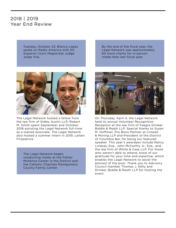### 2018 | 2019 Year End Review

Tuesday, October 23, Blanca Lopez spoke on Radio America with DC Superior Court Magistrate Judge Jorge Vila.



The Legal Network hosted a fellow from the law firm of Sidley Austin LLP; Robert M. Smith spent September and October 2018 assisting the Legal Network full-time as a loaned associate. The Legal Network also hosted a summer intern in 2019, Leilani Fitzpatrick.

The Legal Network began conducting intake at the Father McKenna Center in the District and the Catholic Charities Montgomery County Family Center.

By the end of the fiscal year, the Legal Network saw approximately 60 more clients for in-person intake than last fiscal year.



On Thursday, April 4, the Legal Network held its annual Volunteer Recognition Reception at the law firm of Faegre Drinker Biddle & Reath LLP. Special thanks to Susan M. Hoffman, Pro Bono Partner at Crowell & Moring LLP and President of the District of Columbia Bar, for being our featured speaker. This year's awardees include Nancy Lindsay, Esq., John McCarthy Jr., Esq., and the law firm of White & Case LLP. For those who weren't able to attend, know of our gratitude for your time and expertise, which enables the Legal Network to assist the poorest of the poor. Thank you to Advisory Council member Thomas J. Kelly and Drinker, Biddle & Reath LLP for hosting the event.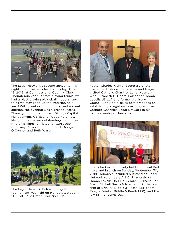

The Legal Network's second annual tennis night fundraiser was held on Friday, April 12, 2019, at Congressional Country Club. Though rain kept us from playing tennis, we had a blast playing pickleball indoors, and think we may keep up the tradition next year! With plenty of food, drink, and a silent auction, the evening was a great success. Thank you to our sponsors: Billings Capital Management, CBRE and Pepco Holdings. Many thanks to our outstanding committee: Kristen Billings, Christopher Carroccio, Courtney Carroccio, Caitlin Duff, Bridget O'Connor and Beth Wasp.



The Legal Network 15th annual golf tournament was held on Monday, October 1, 2018, at Belle Haven Country Club.



Father Charles Kitima, Secretary of the Tanzanian Bishops Conference and lawyer, visited Catholic Charities Legal Network with Elizabeth B. Meers, Partner at Hogan Lovells US LLP and former Advisory Council Chair, to discuss best practices on establishing a legal services program like Catholic Charities Legal Network in his native country of Tanzania.



The John Carroll Society held its annual Red Mass and brunch on Sunday, September 30, 2018. Honorees included outstanding Legal Network volunteers Ari Q. Fitzgerald of Hogan Lovells US LLP; Gerard E. Mitchell of Stein Mitchell Beato & Missner LLP; the law firm of Drinker, Biddle & Reath, LLP (now Faegre Drinker Biddle & Reath LLP); and the law firm of Jones Day.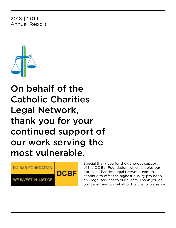### 2018 | 2019 Annual Report



On behalf of the Catholic Charities Legal Network, thank you for your continued support of our work serving the most vulnerable.



Special thank you for the generous support of the DC Bar Foundation, which enables our Catholic Charities Legal Network team to continue to offer the highest quality pro bono civil legal services to our clients. Thank you on our behalf and on behalf of the clients we serve.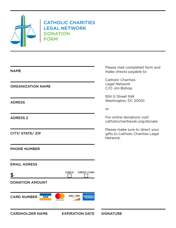

### CATHOLIC CHARITIES LEGAL NETWORK DONATION **FORM**

| <b>NAME</b>                       |                                                           | Please mail completed form and<br>make checks payable to:                        |
|-----------------------------------|-----------------------------------------------------------|----------------------------------------------------------------------------------|
| <b>ORGANIZATION NAME</b>          |                                                           | <b>Catholic Charities</b><br>Legal Network<br>C/O Jim Bishop                     |
| <b>ADRESS</b>                     |                                                           | 924 G Street NW<br>Washington, DC 20001                                          |
|                                   |                                                           | or                                                                               |
| <b>ADRESS 2</b>                   |                                                           | For online donations visit:<br>catholiccharitiesdc.org/donate                    |
| CITY/ STATE/ ZIP                  |                                                           | Please make sure to direct your<br>gifts to Catholic Charities Legal<br>Network. |
| <b>PHONE NUMBER</b>               |                                                           |                                                                                  |
| <b>EMAIL ADRESS</b>               |                                                           |                                                                                  |
| \$                                | <b>CHECK</b><br><b>CREDIT CARD</b>                        |                                                                                  |
| <b>DONATION AMOUNT</b>            |                                                           |                                                                                  |
| <b>CARD NUMBER</b><br><b>VISA</b> | <b>DISC VER</b><br><b>AMERICAN</b><br>EXPRE<br>mastercard |                                                                                  |
| <b>CARDHOLDER NAME</b>            | <b>EXPIRATION DATE</b>                                    | <b>SIGNATURE</b>                                                                 |